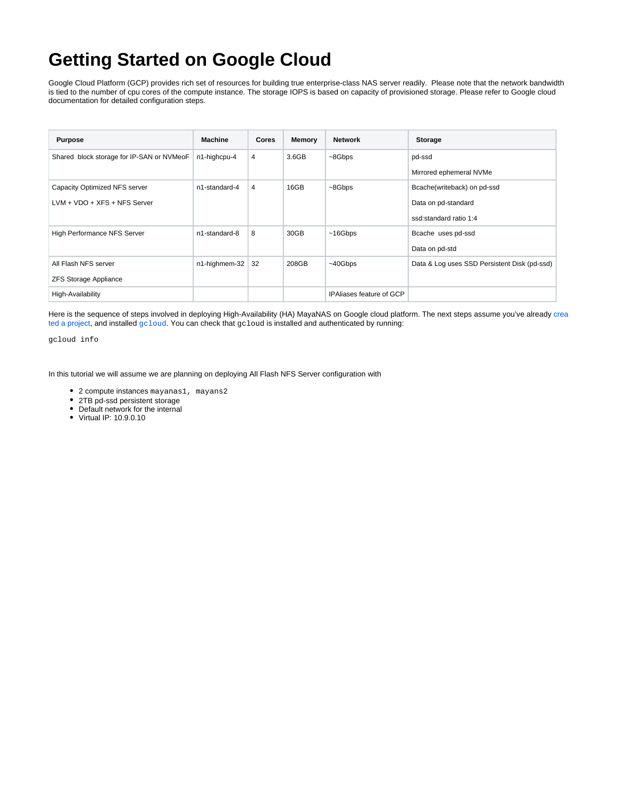## **Getting Started on Google Cloud**

Google Cloud Platform (GCP) provides rich set of resources for building true enterprise-class NAS server readily. Please note that the network bandwidth is tied to the number of cpu cores of the compute instance. The storage IOPS is based on capacity of provisioned storage. Please refer to Google cloud documentation for detailed configuration steps.

| <b>Purpose</b>                            | <b>Machine</b> | <b>Cores</b> | Memory | <b>Network</b>           | <b>Storage</b>                               |
|-------------------------------------------|----------------|--------------|--------|--------------------------|----------------------------------------------|
| Shared block storage for IP-SAN or NVMeoF | n1-highcpu-4   | 4            | 3.6GB  | $~\sim$ 8Gbps            | pd-ssd                                       |
|                                           |                |              |        |                          | Mirrored ephemeral NVMe                      |
| Capacity Optimized NFS server             | n1-standard-4  | 4            | 16GB   | $~\sim$ 8Gbps            | Bcache(writeback) on pd-ssd                  |
| $LVM + VDO + XFS + NFS$ Server            |                |              |        |                          | Data on pd-standard                          |
|                                           |                |              |        |                          | ssd:standard ratio 1:4                       |
| <b>High Performance NFS Server</b>        | n1-standard-8  | 8            | 30GB   | ~16Gbps                  | Bcache uses pd-ssd                           |
|                                           |                |              |        |                          | Data on pd-std                               |
| All Flash NFS server                      | n1-highmem-32  | 32           | 208GB  | $~10$ Gbps               | Data & Log uses SSD Persistent Disk (pd-ssd) |
| <b>ZFS Storage Appliance</b>              |                |              |        |                          |                                              |
| High-Availability                         |                |              |        | IPAliases feature of GCP |                                              |

Here is the sequence of steps involved in deploying High-Availability (HA) MayaNAS on Google cloud platform. The next steps assume you've already [crea](https://cloud.google.com/resource-manager/docs/creating-managing-projects) [ted a project](https://cloud.google.com/resource-manager/docs/creating-managing-projects), and installed [gcloud](https://cloud.google.com/sdk/downloads). You can check that gcloud is installed and authenticated by running:

gcloud info

In this tutorial we will assume we are planning on deploying All Flash NFS Server configuration with

- 2 compute instances mayanas1, mayans2
- 2TB pd-ssd persistent storage
- Default network for the internal
- Virtual IP: 10.9.0.10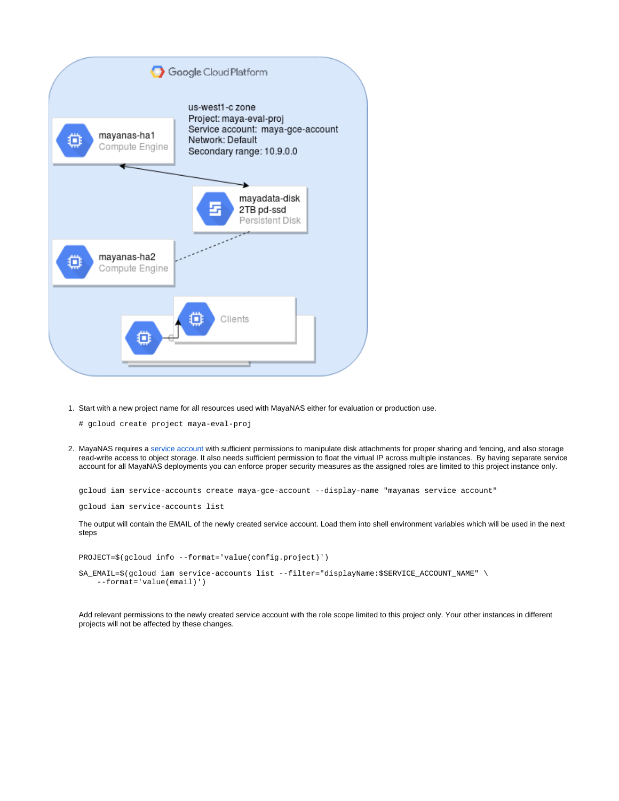

1. Start with a new project name for all resources used with MayaNAS either for evaluation or production use.

# gcloud create project maya-eval-proj

2. MayaNAS requires a [service account](https://cloud.google.com/compute/docs/access/service-accounts) with sufficient permissions to manipulate disk attachments for proper sharing and fencing, and also storage read-write access to object storage. It also needs sufficient permission to float the virtual IP across multiple instances. By having separate service account for all MayaNAS deployments you can enforce proper security measures as the assigned roles are limited to this project instance only.

gcloud iam service-accounts create maya-gce-account --display-name "mayanas service account"

gcloud iam service-accounts list

The output will contain the EMAIL of the newly created service account. Load them into shell environment variables which will be used in the next steps

PROJECT=\$(gcloud info --format='value(config.project)')

SA\_EMAIL=\$(gcloud iam service-accounts list --filter="displayName:\$SERVICE\_ACCOUNT\_NAME" \ --format='value(email)')

Add relevant permissions to the newly created service account with the role scope limited to this project only. Your other instances in different projects will not be affected by these changes.